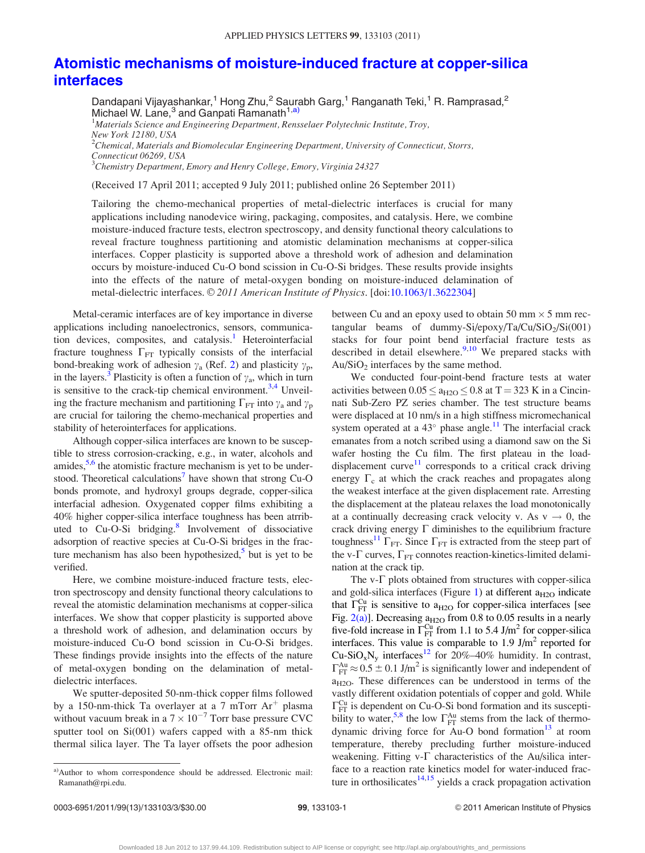## [Atomistic mechanisms of moisture-induced fracture at copper-silica](http://dx.doi.org/10.1063/1.3622304) [interfaces](http://dx.doi.org/10.1063/1.3622304)

Dandapani Vijayashankar,<sup>1</sup> Hong Zhu,<sup>2</sup> Saurabh Garg,<sup>1</sup> Ranganath Teki,<sup>1</sup> R. Ramprasad,<sup>2</sup> Michael W. Lane,<sup>3</sup> and Ganpati Ramanath<sup>1,a)</sup>

<sup>1</sup>Materials Science and Engineering Department, Rensselaer Polytechnic Institute, Troy, New York 12180, USA  $^{2}$ Chemical, Materials and Biomolecular Engineering Department, University of Connecticut, Storrs, Connecticut 06269, USA <sup>3</sup>Chemistry Department, Emory and Henry College, Emory, Virginia 24327

(Received 17 April 2011; accepted 9 July 2011; published online 26 September 2011)

Tailoring the chemo-mechanical properties of metal-dielectric interfaces is crucial for many applications including nanodevice wiring, packaging, composites, and catalysis. Here, we combine moisture-induced fracture tests, electron spectroscopy, and density functional theory calculations to reveal fracture toughness partitioning and atomistic delamination mechanisms at copper-silica interfaces. Copper plasticity is supported above a threshold work of adhesion and delamination occurs by moisture-induced Cu-O bond scission in Cu-O-Si bridges. These results provide insights into the effects of the nature of metal-oxygen bonding on moisture-induced delamination of metal-dielectric interfaces. © 2011 American Institute of Physics. [doi[:10.1063/1.3622304](http://dx.doi.org/10.1063/1.3622304)]

Metal-ceramic interfaces are of key importance in diverse applications including nanoelectronics, sensors, communication devices, composites, and catalysis.<sup>1</sup> Heterointerfacial fracture toughness  $\Gamma_{\text{FT}}$  typically consists of the interfacial bond-breaking work of adhesion  $\gamma_a$  (Ref. [2](#page-2-0)) and plasticity  $\gamma_p$ , in the layers.<sup>[3](#page-2-0)</sup> Plasticity is often a function of  $\gamma_a$ , which in turn is sensitive to the crack-tip chemical environment.<sup>3,[4](#page-2-0)</sup> Unveiling the fracture mechanism and partitioning  $\Gamma_{\text{FT}}$  into  $\gamma_a$  and  $\gamma_p$ are crucial for tailoring the chemo-mechanical properties and stability of heterointerfaces for applications.

Although copper-silica interfaces are known to be susceptible to stress corrosion-cracking, e.g., in water, alcohols and amides,  $5.6$  the atomistic fracture mechanism is yet to be understood. Theoretical calculations<sup>7</sup> have shown that strong Cu-O bonds promote, and hydroxyl groups degrade, copper-silica interfacial adhesion. Oxygenated copper films exhibiting a 40% higher copper-silica interface toughness has been atrrib-uted to Cu-O-Si bridging.<sup>[8](#page-2-0)</sup> Involvement of dissociative adsorption of reactive species at Cu-O-Si bridges in the fracture mechanism has also been hypothesized, $5$  but is yet to be verified.

Here, we combine moisture-induced fracture tests, electron spectroscopy and density functional theory calculations to reveal the atomistic delamination mechanisms at copper-silica interfaces. We show that copper plasticity is supported above a threshold work of adhesion, and delamination occurs by moisture-induced Cu-O bond scission in Cu-O-Si bridges. These findings provide insights into the effects of the nature of metal-oxygen bonding on the delamination of metaldielectric interfaces.

We sputter-deposited 50-nm-thick copper films followed by a 150-nm-thick Ta overlayer at a 7 mTorr  $Ar^+$  plasma without vacuum break in a  $7 \times 10^{-7}$  Torr base pressure CVC sputter tool on Si(001) wafers capped with a 85-nm thick thermal silica layer. The Ta layer offsets the poor adhesion

between Cu and an epoxy used to obtain 50 mm  $\times$  5 mm rectangular beams of dummy-Si/epoxy/Ta/Cu/SiO<sub>2</sub>/Si(001) stacks for four point bend interfacial fracture tests as described in detail elsewhere. $9,10$  We prepared stacks with  $Au/SiO<sub>2</sub>$  interfaces by the same method.

We conducted four-point-bend fracture tests at water activities between  $0.05 \le a_{H2O} \le 0.8$  at T = 323 K in a Cincinnati Sub-Zero PZ series chamber. The test structure beams were displaced at 10 nm/s in a high stiffness micromechanical system operated at a  $43^{\circ}$  phase angle.<sup>11</sup> The interfacial crack emanates from a notch scribed using a diamond saw on the Si wafer hosting the Cu film. The first plateau in the loaddisplacement  $curve<sup>11</sup>$  $curve<sup>11</sup>$  $curve<sup>11</sup>$  corresponds to a critical crack driving energy  $\Gamma_c$  at which the crack reaches and propagates along the weakest interface at the given displacement rate. Arresting the displacement at the plateau relaxes the load monotonically at a continually decreasing crack velocity v. As  $v \rightarrow 0$ , the crack driving energy  $\Gamma$  diminishes to the equilibrium fracture toughness<sup>11</sup>  $\Gamma_{\text{FT}}$ . Since  $\Gamma_{\text{FT}}$  is extracted from the steep part of the v- $\Gamma$  curves,  $\Gamma_{\text{FT}}$  connotes reaction-kinetics-limited delamination at the crack tip.

The  $v$ - $\Gamma$  plots obtained from structures with copper-silica and gold-silica interfaces (Figure [1\)](#page-1-0) at different  $a_{H2O}$  indicate that  $\Gamma_{\text{FT}}^{\text{Cu}}$  is sensitive to  $a_{\text{H2O}}$  for copper-silica interfaces [see Fig.  $2(a)$ ]. Decreasing  $a_{H2O}$  from 0.8 to 0.05 results in a nearly five-fold increase in  $\Gamma_{\text{FT}}^{\text{Cu}}$  from 1.1 to 5.4 J/m<sup>2</sup> for copper-silica interfaces. This value is comparable to  $1.9 \text{ J/m}^2$  reported for  $Cu-SiO_xN_y$  interfaces<sup>12</sup> for 20%–40% humidity. In contrast,  $\Gamma_{\text{FT}}^{\text{Au}} \approx 0.5 \pm 0.1 \text{ J/m}^2$  is significantly lower and independent of a<sub>H2O</sub>. These differences can be understood in terms of the vastly different oxidation potentials of copper and gold. While  $\Gamma_{\text{FT}}^{\text{Cu}}$  is dependent on Cu-O-Si bond formation and its suscepti-bility to water,<sup>5,[8](#page-2-0)</sup> the low  $\Gamma_{\text{FT}}^{\text{Au}}$  stems from the lack of thermodynamic driving force for Au-O bond formation $13$  at room temperature, thereby precluding further moisture-induced weakening. Fitting  $v$ - $\Gamma$  characteristics of the Au/silica interface to a reaction rate kinetics model for water-induced fracture in orthosilicates $14,15$  $14,15$  $14,15$  yields a crack propagation activation

a)Author to whom correspondence should be addressed. Electronic mail: Ramanath@rpi.edu.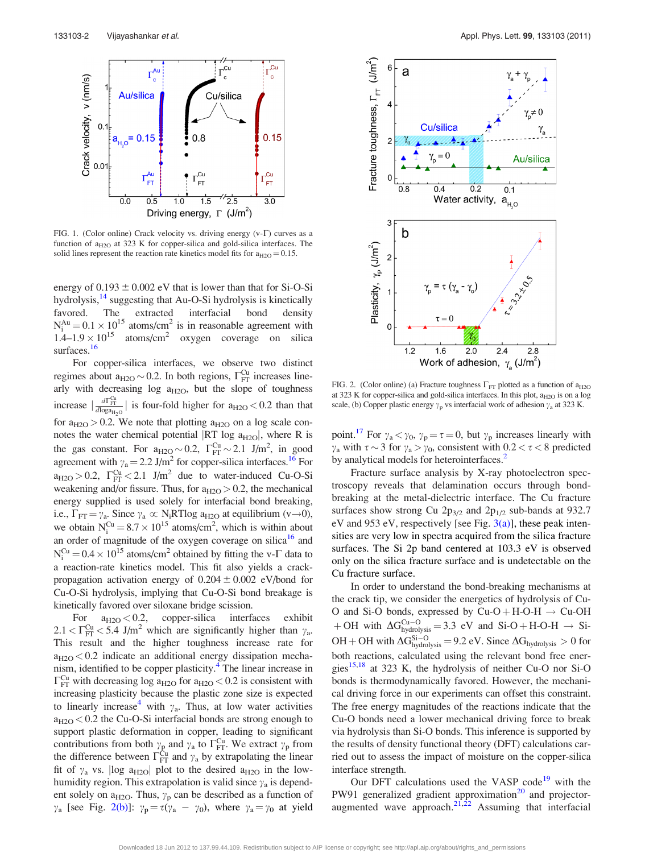<span id="page-1-0"></span>

FIG. 1. (Color online) Crack velocity vs. driving energy  $(v-\Gamma)$  curves as a function of  $a_{H2O}$  at 323 K for copper-silica and gold-silica interfaces. The solid lines represent the reaction rate kinetics model fits for  $a_{H2O} = 0.15$ .

energy of  $0.193 \pm 0.002$  eV that is lower than that for Si-O-Si hydrolysis,<sup>14</sup> suggesting that Au-O-Si hydrolysis is kinetically favored. The extracted interfacial bond density  $N_i^{\text{Au}} = 0.1 \times 10^{15}$  atoms/cm<sup>2</sup> is in reasonable agreement with  $1.4-1.9 \times 10^{15}$  atoms/cm<sup>2</sup> oxygen coverage on silica surfaces.<sup>16</sup>

For copper-silica interfaces, we observe two distinct regimes about  $a_{H2O} \sim 0.2$ . In both regions,  $\Gamma_{\text{FT}}^{\text{Cu}}$  increases linearly with decreasing log  $a_{H2O}$ , but the slope of toughness increase  $\left|\frac{d\Gamma_{\text{FT}}^{Cu}}{d\log a_{H_2O}}\right|$  is four-fold higher for  $a_{H2O} < 0.2$  than that for  $a_{H2O} > 0.2$ . We note that plotting  $a_{H2O}$  on a log scale connotes the water chemical potential  $|RT \log a_{H2O}|$ , where R is the gas constant. For  $a_{H2O} \sim 0.2$ ,  $\Gamma_{\text{FT}}^{\text{Cu}} \sim 2.1$  J/m<sup>2</sup>, in good agreement with  $\gamma_a = 2.2$  J/m<sup>2</sup> for copper-silica interfaces.<sup>[16](#page-2-0)</sup> For  $a_{H2O} > 0.2$ ,  $\Gamma_{\text{FT}}^{\text{Cu}} < 2.1$  J/m<sup>2</sup> due to water-induced Cu-O-Si weakening and/or fissure. Thus, for  $a_{H2O} > 0.2$ , the mechanical energy supplied is used solely for interfacial bond breaking, i.e.,  $\Gamma_{\text{FT}} = \gamma_a$ . Since  $\gamma_a \propto N_i RT \log a_{H2O}$  at equilibrium (v $\rightarrow$ 0), we obtain  $N_i^{Cu} = 8.7 \times 10^{15}$  atoms/cm<sup>2</sup>, which is within about an order of magnitude of the oxygen coverage on silica<sup>16</sup> and  $N_i^{Cu} = 0.4 \times 10^{15}$  atoms/cm<sup>2</sup> obtained by fitting the v- $\Gamma$  data to a reaction-rate kinetics model. This fit also yields a crackpropagation activation energy of  $0.204 \pm 0.002$  eV/bond for Cu-O-Si hydrolysis, implying that Cu-O-Si bond breakage is kinetically favored over siloxane bridge scission.

For  $a_{H2O} < 0.2$ , copper-silica interfaces exhibit  $2.1 < \Gamma_{\text{FT}}^{\text{Cu}} < 5.4 \text{ J/m}^2$  which are significantly higher than  $\gamma_a$ . This result and the higher toughness increase rate for  $a_{H2O}$  < 0.2 indicate an additional energy dissipation mechanism, identified to be copper plasticity.<sup>4</sup> The linear increase in  $\Gamma_{\text{FT}}^{\text{Cu}}$  with decreasing log a<sub>H2O</sub> for a<sub>H2O</sub> < 0.2 is consistent with increasing plasticity because the plastic zone size is expected to linearly increase<sup>[4](#page-2-0)</sup> with  $\gamma_a$ . Thus, at low water activities  $a_{H2O}$  < 0.2 the Cu-O-Si interfacial bonds are strong enough to support plastic deformation in copper, leading to significant contributions from both  $\gamma_{\rm g}$  and  $\gamma_{\rm a}$  to  $\Gamma_{\rm FT}^{\rm Cu}$ . We extract  $\gamma_{\rm p}$  from the difference between  $\Gamma_{\text{FT}}^{\text{Cu}}$  and  $\gamma_a$  by extrapolating the linear fit of  $\gamma_a$  vs. |log a<sub>H2O</sub>| plot to the desired a<sub>H2O</sub> in the lowhumidity region. This extrapolation is valid since  $\gamma_a$  is dependent solely on  $a_{H2O}$ . Thus,  $\gamma_p$  can be described as a function of  $\gamma_a$  [see Fig. 2(b)]:  $\gamma_p = \tau(\gamma_a - \gamma_0)$ , where  $\gamma_a = \gamma_0$  at yield



FIG. 2. (Color online) (a) Fracture toughness  $\Gamma_{\text{FT}}$  plotted as a function of  $a_{H2O}$ at 323 K for copper-silica and gold-silica interfaces. In this plot,  $a_{H2O}$  is on a log scale, (b) Copper plastic energy  $\gamma_p$  vs interfacial work of adhesion  $\gamma_a$  at 323 K.

point.<sup>[17](#page-2-0)</sup> For  $\gamma_a < \gamma_0$ ,  $\gamma_p = \tau = 0$ , but  $\gamma_p$  increases linearly with  $\gamma_a$  with  $\tau \sim 3$  for  $\gamma_a > \gamma_0$ , consistent with  $0.2 < \tau < 8$  predicted by analytical models for heterointerfaces.<sup>[2](#page-2-0)</sup>

Fracture surface analysis by X-ray photoelectron spectroscopy reveals that delamination occurs through bondbreaking at the metal-dielectric interface. The Cu fracture surfaces show strong Cu  $2p_{3/2}$  and  $2p_{1/2}$  sub-bands at 932.7 eV and 953 eV, respectively [see Fig.  $3(a)$ ], these peak intensities are very low in spectra acquired from the silica fracture surfaces. The Si 2p band centered at 103.3 eV is observed only on the silica fracture surface and is undetectable on the Cu fracture surface.

In order to understand the bond-breaking mechanisms at the crack tip, we consider the energetics of hydrolysis of Cu-O and Si-O bonds, expressed by  $Cu-O + H-O-H \rightarrow Cu-OH$ + OH with  $\Delta G_{\text{hydrolysis}}^{\text{Cu}-\text{O}} = 3.3 \text{ eV}$  and Si-O + H-O-H  $\rightarrow$  Si-OH + OH with  $\Delta G_{\text{hydrolysis}}^{\text{Si}-\text{O}} = 9.2 \text{ eV}$ . Since  $\Delta G_{\text{hydrolysis}} > 0$  for both reactions, calculated using the relevant bond free energies $15,18$  $15,18$  $15,18$  at 323 K, the hydrolysis of neither Cu-O nor Si-O bonds is thermodynamically favored. However, the mechanical driving force in our experiments can offset this constraint. The free energy magnitudes of the reactions indicate that the Cu-O bonds need a lower mechanical driving force to break via hydrolysis than Si-O bonds. This inference is supported by the results of density functional theory (DFT) calculations carried out to assess the impact of moisture on the copper-silica interface strength.

Our DFT calculations used the VASP code<sup>[19](#page-2-0)</sup> with the PW91 generalized gradient approximation $^{20}$  $^{20}$  $^{20}$  and projector-augmented wave approach.<sup>[21,22](#page-2-0)</sup> Assuming that interfacial